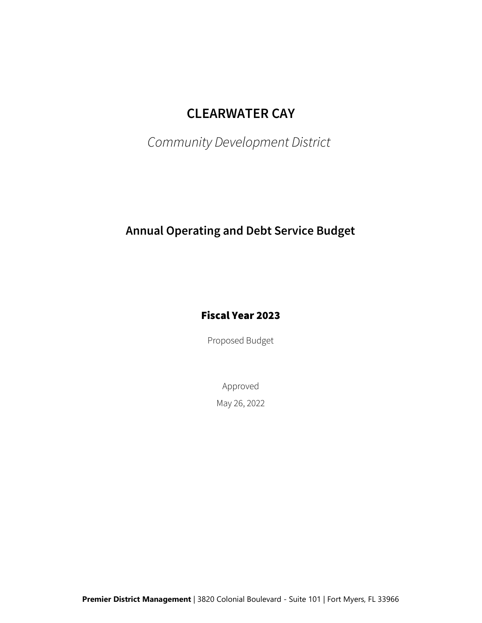# CLEARWATER CAY

Community Development District

## Annual Operating and Debt Service Budget

### Fiscal Year 2023

Proposed Budget

May 26, 2022 Approved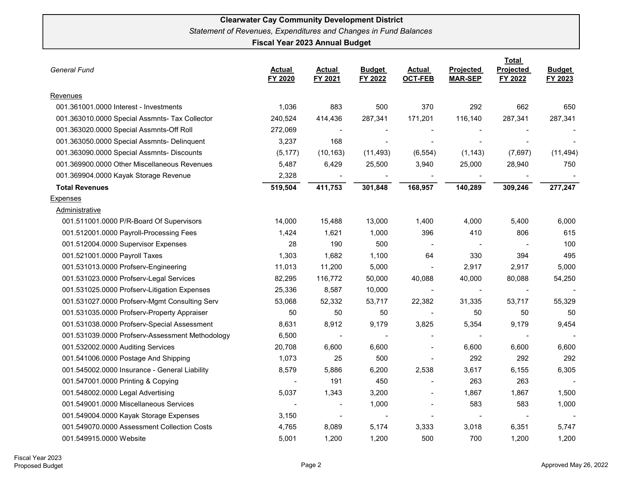| <b>General Fund</b>                             |                          |                          |                          |                                 | Total                       |                      |                          |
|-------------------------------------------------|--------------------------|--------------------------|--------------------------|---------------------------------|-----------------------------|----------------------|--------------------------|
|                                                 | <b>Actual</b><br>FY 2020 | <b>Actual</b><br>FY 2021 | <b>Budget</b><br>FY 2022 | <b>Actual</b><br><b>OCT-FEB</b> | Projected<br><b>MAR-SEP</b> | Projected<br>FY 2022 | <b>Budget</b><br>FY 2023 |
| Revenues                                        |                          |                          |                          |                                 |                             |                      |                          |
| 001.361001.0000 Interest - Investments          | 1,036                    | 883                      | 500                      | 370                             | 292                         | 662                  | 650                      |
| 001.363010.0000 Special Assmnts- Tax Collector  | 240,524                  | 414,436                  | 287,341                  | 171,201                         | 116,140                     | 287,341              | 287,341                  |
| 001.363020.0000 Special Assmnts-Off Roll        | 272,069                  | $\overline{\phantom{a}}$ | $\blacksquare$           |                                 |                             |                      |                          |
| 001.363050.0000 Special Assmnts- Delinquent     | 3,237                    | 168                      | $\overline{\phantom{a}}$ |                                 |                             |                      |                          |
| 001.363090.0000 Special Assmnts- Discounts      | (5, 177)                 | (10, 163)                | (11, 493)                | (6, 554)                        | (1, 143)                    | (7,697)              | (11, 494)                |
| 001.369900.0000 Other Miscellaneous Revenues    | 5,487                    | 6,429                    | 25,500                   | 3,940                           | 25,000                      | 28,940               | 750                      |
| 001.369904.0000 Kayak Storage Revenue           | 2,328                    |                          |                          |                                 |                             |                      |                          |
| <b>Total Revenues</b>                           | 519,504                  | 411,753                  | 301,848                  | 168,957                         | 140,289                     | 309,246              | 277,247                  |
| <b>Expenses</b>                                 |                          |                          |                          |                                 |                             |                      |                          |
| Administrative                                  |                          |                          |                          |                                 |                             |                      |                          |
| 001.511001.0000 P/R-Board Of Supervisors        | 14,000                   | 15,488                   | 13,000                   | 1,400                           | 4,000                       | 5,400                | 6,000                    |
| 001.512001.0000 Payroll-Processing Fees         | 1,424                    | 1,621                    | 1,000                    | 396                             | 410                         | 806                  | 615                      |
| 001.512004.0000 Supervisor Expenses             | 28                       | 190                      | 500                      | $\blacksquare$                  | $\sim$                      |                      | 100                      |
| 001.521001.0000 Payroll Taxes                   | 1,303                    | 1,682                    | 1,100                    | 64                              | 330                         | 394                  | 495                      |
| 001.531013.0000 Profserv-Engineering            | 11,013                   | 11,200                   | 5,000                    |                                 | 2,917                       | 2,917                | 5,000                    |
| 001.531023.0000 Profserv-Legal Services         | 82,295                   | 116,772                  | 50,000                   | 40,088                          | 40,000                      | 80,088               | 54,250                   |
| 001.531025.0000 Profserv-Litigation Expenses    | 25,336                   | 8,587                    | 10,000                   |                                 |                             |                      |                          |
| 001.531027.0000 Profserv-Mgmt Consulting Serv   | 53,068                   | 52,332                   | 53,717                   | 22,382                          | 31,335                      | 53,717               | 55,329                   |
| 001.531035.0000 Profserv-Property Appraiser     | 50                       | 50                       | 50                       |                                 | 50                          | 50                   | 50                       |
| 001.531038.0000 Profserv-Special Assessment     | 8,631                    | 8,912                    | 9,179                    | 3,825                           | 5,354                       | 9,179                | 9,454                    |
| 001.531039.0000 Profserv-Assessment Methodology | 6,500                    | $\overline{\phantom{a}}$ |                          | $\qquad \qquad \blacksquare$    |                             |                      |                          |
| 001.532002.0000 Auditing Services               | 20,708                   | 6,600                    | 6,600                    |                                 | 6,600                       | 6,600                | 6,600                    |
| 001.541006.0000 Postage And Shipping            | 1,073                    | 25                       | 500                      | $\overline{\phantom{0}}$        | 292                         | 292                  | 292                      |
| 001.545002.0000 Insurance - General Liability   | 8,579                    | 5,886                    | 6,200                    | 2,538                           | 3,617                       | 6,155                | 6,305                    |
| 001.547001.0000 Printing & Copying              | $\overline{\phantom{a}}$ | 191                      | 450                      |                                 | 263                         | 263                  |                          |
| 001.548002.0000 Legal Advertising               | 5,037                    | 1,343                    | 3,200                    |                                 | 1,867                       | 1,867                | 1,500                    |
| 001.549001.0000 Miscellaneous Services          | $\sim$                   | $\overline{\phantom{a}}$ | 1,000                    | $\overline{\phantom{0}}$        | 583                         | 583                  | 1,000                    |
| 001.549004.0000 Kayak Storage Expenses          | 3,150                    | $\overline{\phantom{a}}$ | $\blacksquare$           |                                 |                             |                      |                          |
| 001.549070.0000 Assessment Collection Costs     | 4,765                    | 8,089                    | 5,174                    | 3,333                           | 3,018                       | 6,351                | 5,747                    |
| 001.549915.0000 Website                         | 5,001                    | 1,200                    | 1,200                    | 500                             | 700                         | 1,200                | 1,200                    |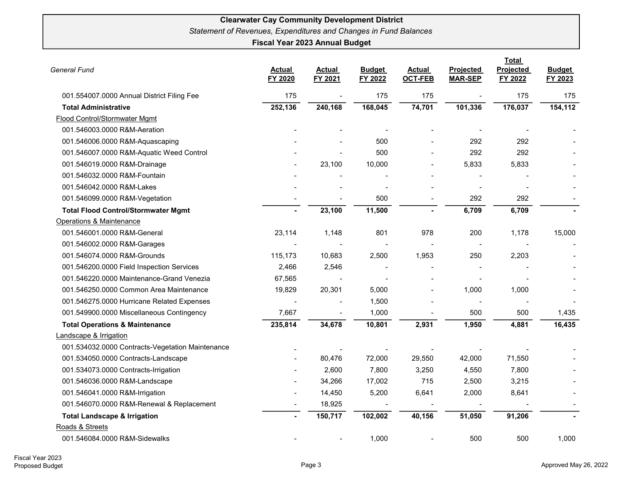| <b>General Fund</b>                              | <b>Actual</b><br>FY 2020 | Actual<br>FY 2021 | <b>Budget</b><br>FY 2022 | Actual<br><b>OCT-FEB</b> | Projected<br><b>MAR-SEP</b> | Total<br>Projected<br>FY 2022 | <b>Budget</b><br>FY 2023 |
|--------------------------------------------------|--------------------------|-------------------|--------------------------|--------------------------|-----------------------------|-------------------------------|--------------------------|
| 001.554007.0000 Annual District Filing Fee       | 175                      | $\blacksquare$    | 175                      | 175                      |                             | 175                           | 175                      |
| <b>Total Administrative</b>                      | 252,136                  | 240,168           | 168,045                  | 74,701                   | 101,336                     | 176,037                       | 154,112                  |
| Flood Control/Stormwater Mgmt                    |                          |                   |                          |                          |                             |                               |                          |
| 001.546003.0000 R&M-Aeration                     |                          |                   |                          |                          |                             |                               |                          |
| 001.546006.0000 R&M-Aquascaping                  |                          |                   | 500                      |                          | 292                         | 292                           |                          |
| 001.546007.0000 R&M-Aquatic Weed Control         |                          |                   | 500                      |                          | 292                         | 292                           |                          |
| 001.546019.0000 R&M-Drainage                     |                          | 23,100            | 10,000                   |                          | 5,833                       | 5,833                         |                          |
| 001.546032.0000 R&M-Fountain                     |                          |                   |                          |                          |                             |                               |                          |
| 001.546042.0000 R&M-Lakes                        |                          |                   |                          |                          |                             |                               |                          |
| 001.546099.0000 R&M-Vegetation                   |                          |                   | 500                      |                          | 292                         | 292                           |                          |
| <b>Total Flood Control/Stormwater Mgmt</b>       | $\blacksquare$           | 23,100            | 11,500                   | $\blacksquare$           | 6,709                       | 6,709                         |                          |
| Operations & Maintenance                         |                          |                   |                          |                          |                             |                               |                          |
| 001.546001.0000 R&M-General                      | 23,114                   | 1,148             | 801                      | 978                      | 200                         | 1,178                         | 15,000                   |
| 001.546002.0000 R&M-Garages                      |                          |                   |                          |                          |                             |                               |                          |
| 001.546074.0000 R&M-Grounds                      | 115,173                  | 10,683            | 2,500                    | 1,953                    | 250                         | 2,203                         |                          |
| 001.546200.0000 Field Inspection Services        | 2,466                    | 2,546             |                          |                          |                             |                               |                          |
| 001.546220.0000 Maintenance-Grand Venezia        | 67,565                   |                   |                          |                          |                             |                               |                          |
| 001.546250.0000 Common Area Maintenance          | 19,829                   | 20,301            | 5,000                    |                          | 1,000                       | 1,000                         |                          |
| 001.546275.0000 Hurricane Related Expenses       |                          |                   | 1,500                    |                          |                             |                               |                          |
| 001.549900.0000 Miscellaneous Contingency        | 7,667                    |                   | 1,000                    |                          | 500                         | 500                           | 1,435                    |
| <b>Total Operations &amp; Maintenance</b>        | 235,814                  | 34,678            | 10,801                   | 2,931                    | 1,950                       | 4,881                         | 16,435                   |
| <b>Landscape &amp; Irrigation</b>                |                          |                   |                          |                          |                             |                               |                          |
| 001.534032.0000 Contracts-Vegetation Maintenance |                          |                   |                          |                          |                             |                               |                          |
| 001.534050.0000 Contracts-Landscape              |                          | 80,476            | 72,000                   | 29,550                   | 42,000                      | 71,550                        |                          |
| 001.534073.0000 Contracts-Irrigation             |                          | 2,600             | 7,800                    | 3,250                    | 4,550                       | 7,800                         |                          |
| 001.546036.0000 R&M-Landscape                    |                          | 34,266            | 17,002                   | 715                      | 2,500                       | 3,215                         |                          |
| 001.546041.0000 R&M-Irrigation                   |                          | 14,450            | 5,200                    | 6,641                    | 2,000                       | 8,641                         |                          |
| 001.546070.0000 R&M-Renewal & Replacement        |                          | 18,925            |                          |                          |                             |                               |                          |
| <b>Total Landscape &amp; Irrigation</b>          | $\blacksquare$           | 150,717           | 102,002                  | 40,156                   | 51,050                      | 91,206                        |                          |
| Roads & Streets                                  |                          |                   |                          |                          |                             |                               |                          |
| 001.546084.0000 R&M-Sidewalks                    |                          |                   | 1,000                    |                          | 500                         | 500                           | 1,000                    |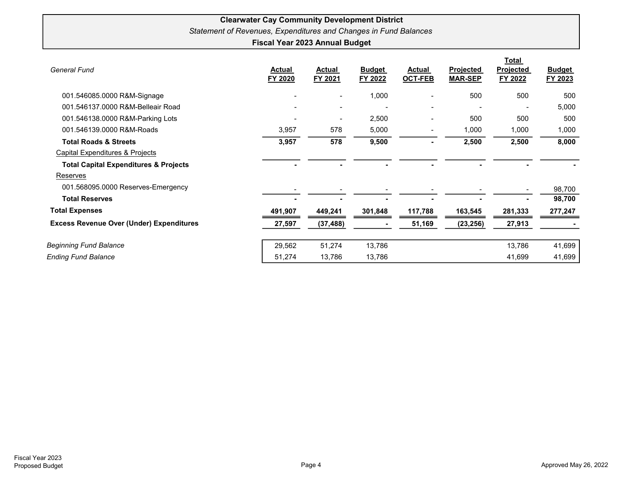| <b>General Fund</b>                              | <b>Actual</b><br>FY 2020 | <b>Actual</b><br>FY 2021 | <b>Budget</b><br>FY 2022 | <b>Actual</b><br><b>OCT-FEB</b> | <b>Projected</b><br><b>MAR-SEP</b> | <b>Total</b><br><b>Projected</b><br>FY 2022 | <b>Budget</b><br>FY 2023 |
|--------------------------------------------------|--------------------------|--------------------------|--------------------------|---------------------------------|------------------------------------|---------------------------------------------|--------------------------|
| 001.546085.0000 R&M-Signage                      |                          | $\blacksquare$           | 1,000                    | $\blacksquare$                  | 500                                | 500                                         | 500                      |
| 001.546137.0000 R&M-Belleair Road                |                          | $\overline{\phantom{a}}$ |                          | $\blacksquare$                  |                                    |                                             | 5,000                    |
| 001.546138.0000 R&M-Parking Lots                 |                          | $\overline{\phantom{a}}$ | 2,500                    |                                 | 500                                | 500                                         | 500                      |
| 001.546139.0000 R&M-Roads                        | 3,957                    | 578                      | 5,000                    |                                 | 1,000                              | 1,000                                       | 1,000                    |
| <b>Total Roads &amp; Streets</b>                 | 3,957                    | 578                      | 9,500                    | ۰                               | 2,500                              | 2,500                                       | 8,000                    |
| Capital Expenditures & Projects                  |                          |                          |                          |                                 |                                    |                                             |                          |
| <b>Total Capital Expenditures &amp; Projects</b> |                          |                          |                          |                                 |                                    |                                             |                          |
| Reserves                                         |                          |                          |                          |                                 |                                    |                                             |                          |
| 001.568095.0000 Reserves-Emergency               |                          |                          |                          |                                 |                                    |                                             | 98,700                   |
| <b>Total Reserves</b>                            |                          |                          |                          |                                 |                                    |                                             | 98,700                   |
| <b>Total Expenses</b>                            | 491,907                  | 449,241                  | 301,848                  | 117,788                         | 163,545                            | 281,333                                     | 277,247                  |
| <b>Excess Revenue Over (Under) Expenditures</b>  | 27,597                   | (37, 488)                |                          | 51,169                          | (23, 256)                          | 27,913                                      |                          |
| <b>Beginning Fund Balance</b>                    | 29,562                   | 51,274                   | 13,786                   |                                 |                                    | 13,786                                      | 41,699                   |
| <b>Ending Fund Balance</b>                       | 51,274                   | 13,786                   | 13,786                   |                                 |                                    | 41,699                                      | 41,699                   |